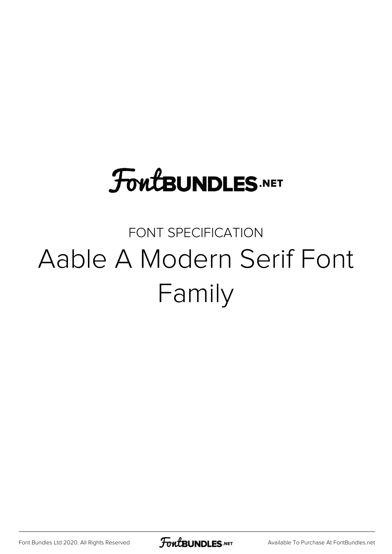#### **FoutBUNDLES.NET**

#### FONT SPECIFICATION Aable A Modern Serif Font Family

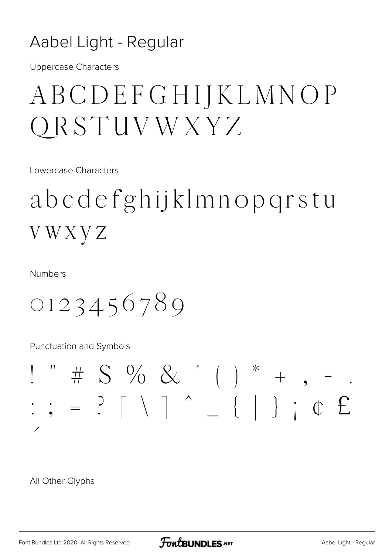#### Aabel Light - Regular

**Uppercase Characters** 

#### ABCDEFGHIJKLMNOP ORSTUVWXYZ

Lowercase Characters

abcdefghijklmnopgrstu **VWXVZ** 

**Numbers** 

0123456789

Punctuation and Symbols

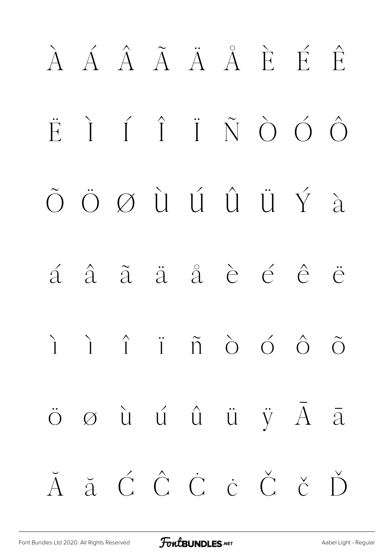# À Á Â Ã Ä Å È É Ê Ë Ì Í Î Ï Ñ Ò Ó Ô Õ Ö Ø Ù Ú Û Ü Ý à á â ã ä å è é ê ë ì í î ï ñ ò ó ô õ ö ø ù ú û ü ÿ Ā ā Ă ă Ć Ĉ Ċ ċ Č č Ď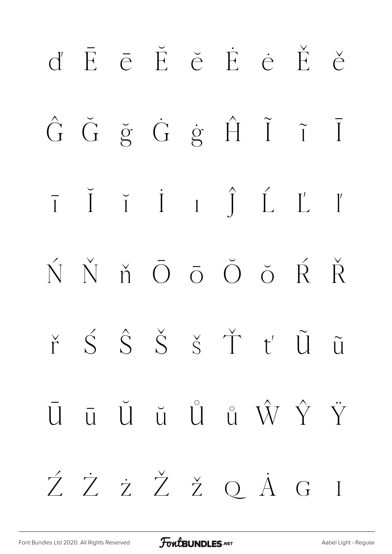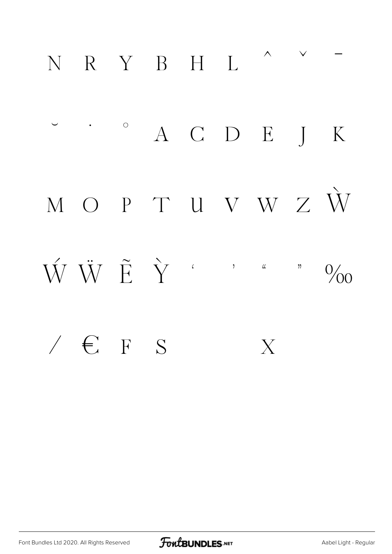### N R Y B H I. ^  $\sim$  -

· · · A C D E J K M O P T U V W Z W  $\hat{W} \ \dot{W} \ \tilde{E} \ \dot{Y} \qquad \qquad$  $\angle$   $\in$   $F$   $S$   $X$ 

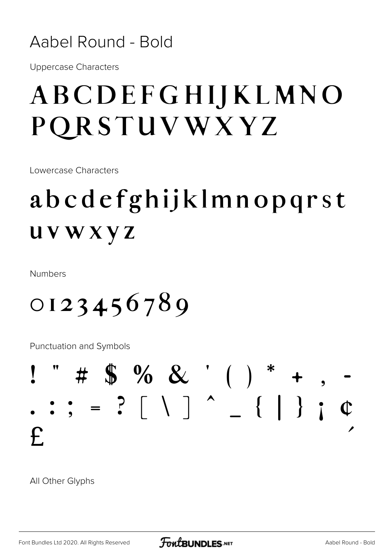#### Aabel Round - Bold

**Uppercase Characters** 

#### ABCDEFGHIJKLMNO PQRSTUVWXYZ

Lowercase Characters

#### abcdefghijklmnopqrst **UVWXYZ**

**Numbers** 

0123456789

Punctuation and Symbols

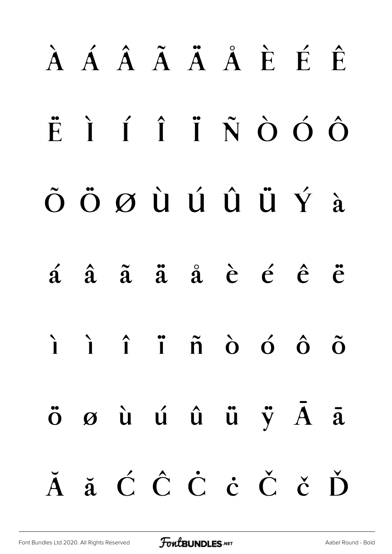# À Á Â Ã Ä Å È É Ê Ë Ì Í Î Ï Ñ Ò Ó Ô Õ Ö Ø Ù Ú Û Ü Ý à á â ã ä å è é ê ë ì í î ï ñ ò ó ô õ ö ø ù ú û ü ÿ Ā ā Ă ă Ć Ĉ Ċ ċ Č č Ď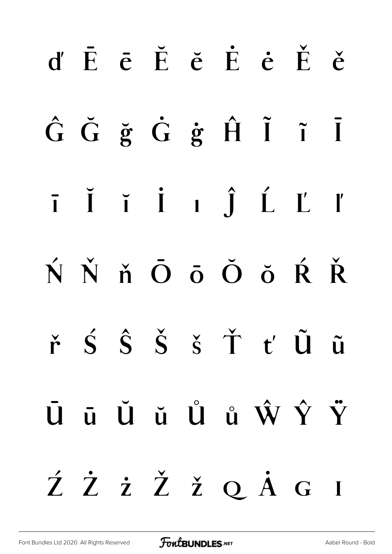# $d' \tE \t\bar{\epsilon} \tE \t\bar{\epsilon} \tE \t\dot{\epsilon} \tE \t\dot{\epsilon}$ ĜĞğĞġĤĨ ĩĪ  $\bar{i}$   $\bar{j}$   $\bar{i}$   $\bar{j}$   $\bar{j}$   $\bar{L}$   $\bar{L}$ ŃŇň Ōō Ŏ ŏ Ŕ Ř  $\check{r}$   $\acute{S}$   $\acute{S}$   $\check{S}$   $\check{S}$   $\check{T}$   $t'$   $\tilde{U}$   $\tilde{u}$ ŪūŬŭŮů ŴŶŸ ŹŻżŽžQÄG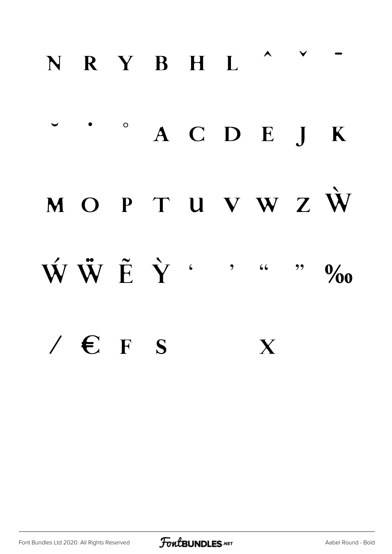### N R Y B H L ^  $\cdot$

### $\circ$  A C D E J K MOPTUVWZŴ  $\mathbf{\dot{W}} \mathbf{\ddot{W}} \mathbf{\ddot{E}} \mathbf{\dot{Y}}$  . . . . %  $\angle$   $\epsilon$  F s X

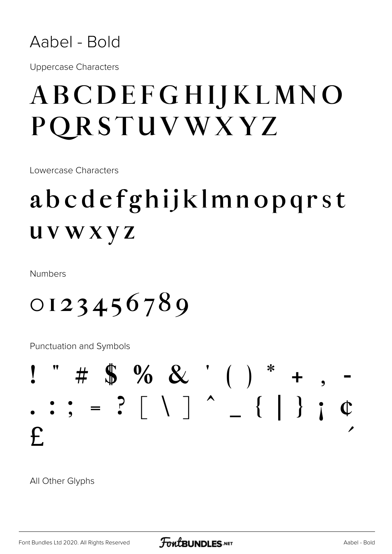

**Uppercase Characters** 

#### ABCDEFGHIJKLMNO PORSTUVWXYZ

Lowercase Characters

#### abcdefghijklmnopqrst **UVWXYZ**

**Numbers** 

 $0123456789$ 

Punctuation and Symbols

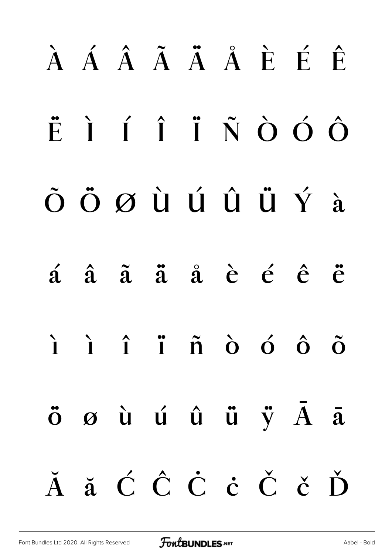# À Á Â Ã Ã Å Å È É Ê ËÌÍÎÏÑÒÓÔ ÕÖØÙÚÛÜÝà  $\acute{a}$   $\acute{a}$   $\ddot{a}$   $\ddot{a}$   $\acute{a}$   $\grave{e}$   $\acute{e}$   $\ddot{e}$   $\ddot{e}$  $\hat{I}$   $\hat{I}$   $\hat{I}$   $\hat{n}$   $\hat{O}$   $\hat{O}$   $\hat{O}$  $\ddot{\mathbf{o}}$   $\boldsymbol{\varnothing}$   $\dot{\mathbf{u}}$   $\dot{\mathbf{u}}$   $\ddot{\mathbf{u}}$   $\ddot{\mathbf{v}}$   $\ddot{\mathbf{A}}$   $\ddot{\mathbf{a}}$ Ă ă Ć Ĉ Ċ ċ Č č Ď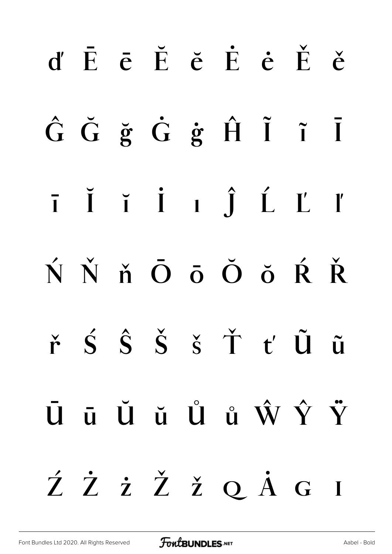# $d' \tF \t\bar{e} \tF \t\bar{e} \tF \t\bar{e} \tF \t\bar{e}$ ĜĞğĞġĤĨ ĩĪ  $\bar{i}$   $\bar{j}$   $\bar{i}$   $\bar{j}$   $\bar{j}$   $\bar{L}$   $\bar{L}$ ŃŇň ŌōŎŏŔŘ  $\check{r}$   $\acute{S}$   $\acute{S}$   $\check{S}$   $\acute{S}$   $\check{T}$   $t'$   $\tilde{U}$   $\tilde{u}$ Ūū Ŭŭ Ů ů Ŵ Ŷ Ÿ ŹŻżŽžQÅG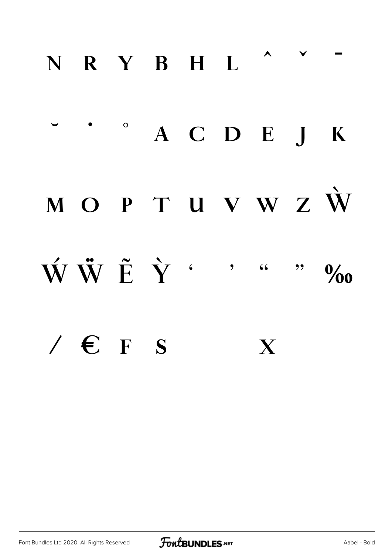#### **ɴ ʀ ʏ ʙ ʜ ʟ ˆ ˇ ˉ**

### $\circ$  **A C D E J K ᴍ ᴏ ᴘ ᴛ ᴜ ᴠ ᴡ ᴢ Ẁ Ẃ Ẅ Ẽ Ỳ ' ' " " ‰ ⁄ € ꜰ ꜱ**

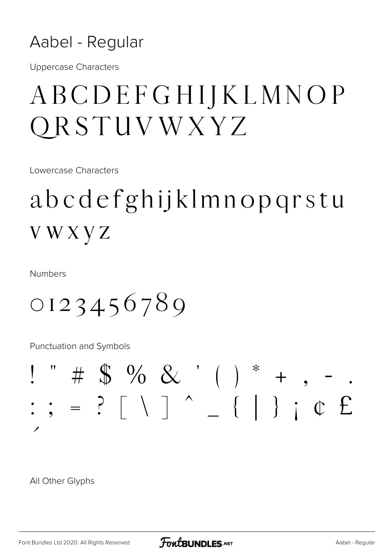

**Uppercase Characters** 

#### ABCDEFGHIJKLMNOP QRSTUVWXYZ

Lowercase Characters

#### abcdefghijklmnopqrstu **VWXVZ**

**Numbers** 

0123456789

Punctuation and Symbols

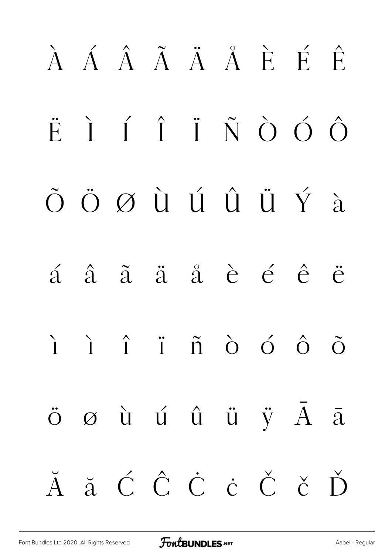# À Á Â Ã Ä Å È É Ê Ë Ì Í Î Ï Ñ Ò Ó Ô Õ Ö Ø Ù Ú Û Ü Ý à á â ã ä å è é ê ë ì í î ï ñ ò ó ô õ  $\ddot{\mathrm{o}}$   $\varnothing$  ù ú û ü ÿ  $\bar{\mathrm{A}}$  ā Ă ă Ć Ĉ Ċ ċ Č č Ď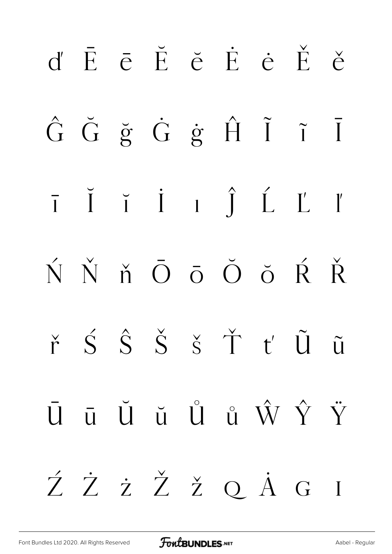### d'ĒēĔĕĖĖĚě ĜĞğ Ġ ġ Ĥ Ĩ Ī  $\overline{1}$   $\overline{1}$   $\overline{1}$   $\overline{1}$   $\overline{1}$   $\overline{1}$   $\overline{1}$   $\overline{1}$   $\overline{1}$ ŃŇň Ōō Ŏ ŏ Ŕ Ř  $\check{r}$   $\check{S}$   $\hat{S}$   $\check{S}$   $\check{S}$   $\check{T}$   $t'$   $\tilde{U}$   $\tilde{u}$  $\bar{U}$   $\bar{u}$   $\bar{U}$   $\bar{u}$   $\hat{U}$   $\hat{u}$   $\hat{W}$   $\hat{Y}$   $\ddot{Y}$ ŹŻżŽžQÅG  $\overline{\phantom{a}}$